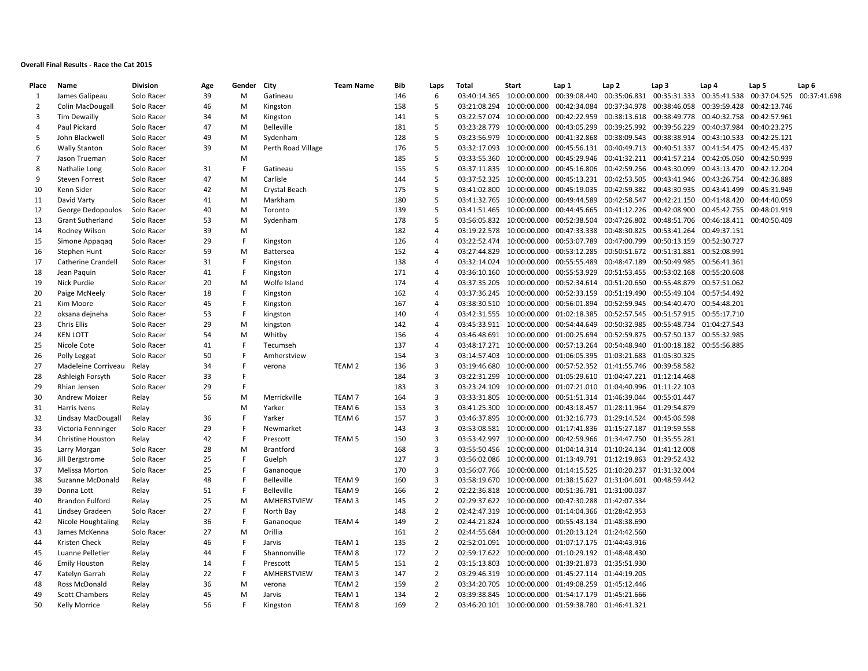## **Overall Final Results - Race the Cat 2015**

| Place          | Name                      | <b>Division</b> | Age | Gender | City               | <b>Team Name</b>  | Bib | Laps           | Total        | Start                     | Lap 1                                               | Lap 2                                                  | Lap <sub>3</sub>          | Lap 4                                                                | Lap 5        | Lap <sub>6</sub> |
|----------------|---------------------------|-----------------|-----|--------|--------------------|-------------------|-----|----------------|--------------|---------------------------|-----------------------------------------------------|--------------------------------------------------------|---------------------------|----------------------------------------------------------------------|--------------|------------------|
| 1              | James Galipeau            | Solo Racer      | 39  | M      | Gatineau           |                   | 146 | 6              |              | 03:40:14.365 10:00:00.000 | 00:39:08.440                                        | 00:35:06.831                                           |                           | 00:35:31.333 00:35:41.538                                            | 00:37:04.525 | 00:37:41.698     |
| $\overline{2}$ | Colin MacDougall          | Solo Racer      | 46  | M      | Kingston           |                   | 158 | 5              |              | 03:21:08.294 10:00:00.000 |                                                     |                                                        |                           | 00:42:34.084  00:37:34.978  00:38:46.058  00:39:59.428  00:42:13.746 |              |                  |
| 3              | Tim Dewailly              | Solo Racer      | 34  | M      | Kingston           |                   | 141 | 5              | 03:22:57.074 | 10:00:00.000              | 00:42:22.959                                        | 00:38:13.618                                           | 00:38:49.778              | 00:40:32.758                                                         | 00:42:57.961 |                  |
| $\overline{4}$ | Paul Pickard              | Solo Racer      | 47  | M      | <b>Belleville</b>  |                   | 181 | 5              |              | 03:23:28.779 10:00:00.000 |                                                     | 00:43:05.299 00:39:25.992                              |                           | 00:39:56.229 00:40:37.984                                            | 00:40:23.275 |                  |
| -5             | John Blackwell            | Solo Racer      | 49  | M      | Sydenham           |                   | 128 | 5              | 03:23:56.979 | 10:00:00.000              | 00:41:32.868                                        | 00:38:09.543                                           | 00:38:38.914              | 00:43:10.533                                                         | 00:42:25.121 |                  |
| 6              | <b>Wally Stanton</b>      | Solo Racer      | 39  | M      | Perth Road Village |                   | 176 | 5              | 03:32:17.093 | 10:00:00.000              |                                                     |                                                        |                           | 00:45:56.131  00:40:49.713  00:40:51.337  00:41:54.475  00:42:45.437 |              |                  |
| $\overline{7}$ | Jason Trueman             | Solo Racer      |     | M      |                    |                   | 185 | 5              | 03:33:55.360 | 10:00:00.000              |                                                     | 00:45:29.946 00:41:32.211 00:41:57.214                 |                           | 00:42:05.050                                                         | 00:42:50.939 |                  |
| 8              | Nathalie Long             | Solo Racer      | 31  | F      | Gatineau           |                   | 155 | 5              |              | 03:37:11.835 10:00:00.000 |                                                     | 00:45:16.806 00:42:59.256 00:43:30.099                 |                           | 00:43:13.470                                                         | 00:42:12.204 |                  |
| 9              | <b>Steven Forrest</b>     | Solo Racer      | 47  | M      | Carlisle           |                   | 144 | 5              |              | 03:37:52.325 10:00:00.000 |                                                     | 00:45:13.231 00:42:53.505                              | 00:43:41.946              | 00:43:26.754                                                         | 00:42:36.889 |                  |
| 10             | Kenn Sider                | Solo Racer      | 42  | M      | Crystal Beach      |                   | 175 | 5              | 03:41:02.800 | 10:00:00.000              |                                                     |                                                        |                           | 00:45:19.035  00:42:59.382  00:43:30.935  00:43:41.499               | 00:45:31.949 |                  |
| 11             | David Varty               | Solo Racer      | 41  | M      | Markham            |                   | 180 | 5              |              | 03:41:32.765 10:00:00.000 | 00:49:44.589                                        |                                                        | 00:42:58.547 00:42:21.150 | 00:41:48.420                                                         | 00:44:40.059 |                  |
| 12             | George Dedopoulos         | Solo Racer      | 40  | M      | Toronto            |                   | 139 | 5              |              | 03:41:51.465 10:00:00.000 | 00:44:45.665                                        | 00:41:12.226                                           | 00:42:08.900              | 00:45:42.755                                                         | 00:48:01.919 |                  |
| 13             | <b>Grant Sutherland</b>   | Solo Racer      | 53  | M      | Sydenham           |                   | 178 | 5              |              | 03:56:05.832 10:00:00.000 | 00:52:38.504                                        |                                                        |                           | 00:47:26.802 00:48:51.706 00:46:18.411 00:40:50.409                  |              |                  |
| 14             | Rodney Wilson             | Solo Racer      | 39  | M      |                    |                   | 182 | $\overline{4}$ |              | 03:19:22.578 10:00:00.000 | 00:47:33.338                                        | 00:48:30.825 00:53:41.264                              |                           | 00:49:37.151                                                         |              |                  |
| 15             | Simone Appagag            | Solo Racer      | 29  | F      | Kingston           |                   | 126 | 4              |              | 03:22:52.474 10:00:00.000 | 00:53:07.789                                        |                                                        |                           | 00:47:00.799 00:50:13.159 00:52:30.727                               |              |                  |
| 16             | Stephen Hunt              | Solo Racer      | 59  | M      | <b>Battersea</b>   |                   | 152 | 4              |              | 03:27:44.829 10:00:00.000 | 00:53:12.285                                        | 00:50:51.672  00:51:31.881  00:52:08.991               |                           |                                                                      |              |                  |
| 17             | <b>Catherine Crandell</b> | Solo Racer      | 31  | F      | Kingston           |                   | 138 | 4              |              | 03:32:14.024 10:00:00.000 |                                                     | 00:55:55.489  00:48:47.189  00:50:49.985  00:56:41.361 |                           |                                                                      |              |                  |
| 18             | Jean Paquin               | Solo Racer      | 41  | F      | Kingston           |                   | 171 | 4              | 03:36:10.160 | 10:00:00.000              |                                                     | 00:55:53.929 00:51:53.455                              |                           | 00:53:02.168 00:55:20.608                                            |              |                  |
| 19             | Nick Purdie               | Solo Racer      | 20  | M      | Wolfe Island       |                   | 174 | $\overline{a}$ |              | 03:37:35.205 10:00:00.000 |                                                     | 00:52:34.614 00:51:20.650                              |                           | 00:55:48.879 00:57:51.062                                            |              |                  |
| 20             | Paige McNeely             | Solo Racer      | 18  |        | Kingston           |                   | 162 | 4              |              | 03:37:36.245 10:00:00.000 | 00:52:33.159                                        | 00:51:19.490                                           | 00:55:49.104              | 00:57:54.492                                                         |              |                  |
| 21             | Kim Moore                 | Solo Racer      | 45  |        | Kingston           |                   | 167 | $\overline{4}$ |              | 03:38:30.510 10:00:00.000 |                                                     | 00:56:01.894 00:52:59.945                              |                           | 00:54:40.470 00:54:48.201                                            |              |                  |
| 22             | oksana dejneha            | Solo Racer      | 53  |        | kingston           |                   | 140 | 4              | 03:42:31.555 | 10:00:00.000              | 01:02:18.385                                        | 00:52:57.545                                           | 00:51:57.915              | 00:55:17.710                                                         |              |                  |
| 23             | Chris Ellis               | Solo Racer      | 29  | M      | kingston           |                   | 142 | 4              |              | 03:45:33.911 10:00:00.000 | 00:54:44.649                                        | 00:50:32.985                                           |                           | 00:55:48.734 01:04:27.543                                            |              |                  |
| 24             | <b>KEN LOTT</b>           | Solo Racer      | 54  | M      | Whitby             |                   | 156 | 4              | 03:46:48.691 | 10:00:00.000              | 01:00:25.694                                        | 00:52:59.875                                           | 00:57:50.137              | 00:55:32.985                                                         |              |                  |
| 25             | Nicole Cote               | Solo Racer      | 41  |        | Tecumseh           |                   | 137 | 4              |              | 03:48:17.271 10:00:00.000 |                                                     | 00:57:13.264 00:54:48.940                              |                           | 01:00:18.182 00:55:56.885                                            |              |                  |
| 26             | Polly Leggat              | Solo Racer      | 50  |        | Amherstview        |                   | 154 | 3              |              | 03:14:57.403 10:00:00.000 |                                                     | 01:06:05.395  01:03:21.683  01:05:30.325               |                           |                                                                      |              |                  |
| 27             | Madeleine Corriveau       | Relay           | 34  |        | verona             | TEAM 2            | 136 | 3              | 03:19:46.680 | 10:00:00.000              |                                                     | 00:57:52.352 01:41:55.746 00:39:58.582                 |                           |                                                                      |              |                  |
| 28             | Ashleigh Forsyth          | Solo Racer      | 33  | F      |                    |                   | 184 | 3              | 03:22:31.299 | 10:00:00.000              | 01:05:29.610                                        | 01:04:47.221 01:12:14.468                              |                           |                                                                      |              |                  |
| 29             | Rhian Jensen              | Solo Racer      | 29  |        |                    |                   | 183 | $\overline{3}$ | 03:23:24.109 | 10:00:00.000              |                                                     | 01:07:21.010 01:04:40.996 01:11:22.103                 |                           |                                                                      |              |                  |
| 30             | <b>Andrew Moizer</b>      | Relay           | 56  | M      | Merrickville       | TEAM <sub>7</sub> | 164 | 3              |              | 03:33:31.805 10:00:00.000 |                                                     | 00:51:51.314  01:46:39.044  00:55:01.447               |                           |                                                                      |              |                  |
| 31             | Harris Ivens              | Relay           |     | M      | Yarker             | TEAM 6            | 153 | 3              | 03:41:25.300 | 10:00:00.000              |                                                     | 00:43:18.457  01:28:11.964  01:29:54.879               |                           |                                                                      |              |                  |
| 32             | Lindsay MacDougall        | Relay           | 36  | F      | Yarker             | TEAM 6            | 157 | 3              |              | 03:46:37.895 10:00:00.000 |                                                     | 01:32:16.773 01:29:14.524 00:45:06.598                 |                           |                                                                      |              |                  |
| 33             | Victoria Fenninger        | Solo Racer      | 29  | Е      | Newmarket          |                   | 143 | 3              |              | 03:53:08.581 10:00:00.000 |                                                     | 01:17:41.836 01:15:27.187 01:19:59.558                 |                           |                                                                      |              |                  |
| 34             | <b>Christine Houston</b>  | Relay           | 42  | F      | Prescott           | TEAM <sub>5</sub> | 150 | 3              |              | 03:53:42.997 10:00:00.000 |                                                     | 00:42:59.966 01:34:47.750 01:35:55.281                 |                           |                                                                      |              |                  |
| 35             | Larry Morgan              | Solo Racer      | 28  | M      | Brantford          |                   | 168 | 3              |              | 03:55:50.456 10:00:00.000 |                                                     | 01:04:14.314 01:10:24.134                              | 01:41:12.008              |                                                                      |              |                  |
| 36             | Jill Bergstrome           | Solo Racer      | 25  | F      | Guelph             |                   | 127 | 3              |              | 03:56:02.086 10:00:00.000 |                                                     | 01:13:49.791  01:12:19.863  01:29:52.432               |                           |                                                                      |              |                  |
| 37             | Melissa Morton            | Solo Racer      | 25  |        | Gananoque          |                   | 170 | 3              | 03:56:07.766 | 10:00:00.000              |                                                     | 01:14:15.525 01:10:20.237                              | 01:31:32.004              |                                                                      |              |                  |
| 38             | Suzanne McDonald          | Relay           | 48  |        | <b>Belleville</b>  | TEAM 9            | 160 | 3              | 03:58:19.670 | 10:00:00.000              |                                                     | 01:38:15.627 01:31:04.601                              | 00:48:59.442              |                                                                      |              |                  |
| 39             | Donna Lott                | Relay           | 51  |        | <b>Belleville</b>  | TEAM 9            | 166 | $\overline{2}$ | 02:22:36.818 | 10:00:00.000              | 00:51:36.781                                        | 01:31:00.037                                           |                           |                                                                      |              |                  |
| 40             | <b>Brandon Fulford</b>    | Relay           | 25  | M      | AMHERSTVIEW        | TEAM 3            | 145 | $\overline{2}$ |              | 02:29:37.622 10:00:00.000 | 00:47:30.288 01:42:07.334                           |                                                        |                           |                                                                      |              |                  |
| 41             | <b>Lindsey Gradeen</b>    | Solo Racer      | 27  |        | North Bay          |                   | 148 | $\overline{2}$ | 02:42:47.319 | 10:00:00.000              | 01:14:04.366                                        | 01:28:42.953                                           |                           |                                                                      |              |                  |
| 42             | Nicole Houghtaling        | Relay           | 36  |        | Gananoque          | TEAM 4            | 149 | $\overline{2}$ |              | 02:44:21.824 10:00:00.000 | 00:55:43.134 01:48:38.690                           |                                                        |                           |                                                                      |              |                  |
| 43             | James McKenna             | Solo Racer      | 27  | M      | Orillia            |                   | 161 | $\overline{2}$ | 02:44:55.684 | 10:00:00.000              | 01:20:13.124                                        | 01:24:42.560                                           |                           |                                                                      |              |                  |
| 44             | Kristen Check             | Relay           | 46  |        | Jarvis             | TEAM 1            | 135 | $\overline{2}$ |              | 02:52:01.091 10:00:00.000 | 01:07:17.175 01:44:43.916                           |                                                        |                           |                                                                      |              |                  |
| 45             | Luanne Pelletier          | Relay           | 44  | F      | Shannonville       | TEAM <sub>8</sub> | 172 | $\overline{2}$ |              | 02:59:17.622 10:00:00.000 | 01:10:29.192 01:48:48.430                           |                                                        |                           |                                                                      |              |                  |
| 46             | <b>Emily Houston</b>      | Relay           | 14  |        | Prescott           | TEAM 5            | 151 | $\overline{2}$ |              | 03:15:13.803 10:00:00.000 | 01:39:21.873 01:35:51.930                           |                                                        |                           |                                                                      |              |                  |
| 47             | Katelyn Garrah            | Relay           | 22  | F      | AMHERSTVIEW        | TEAM 3            | 147 | $\overline{2}$ |              |                           | 03:29:46.319 10:00:00.000 01:45:27.114 01:44:19.205 |                                                        |                           |                                                                      |              |                  |
| 48             | Ross McDonald             | Relay           | 36  | M      | verona             | TEAM 2            | 159 | $\overline{2}$ |              | 03:34:20.705 10:00:00.000 | 01:49:08.259 01:45:12.446                           |                                                        |                           |                                                                      |              |                  |
| 49             | <b>Scott Chambers</b>     | Relay           | 45  | M      | Jarvis             | TEAM 1            | 134 | $\overline{2}$ |              |                           | 03:39:38.845 10:00:00.000 01:54:17.179 01:45:21.666 |                                                        |                           |                                                                      |              |                  |
| 50             | Kelly Morrice             | Relay           | 56  | F      | Kingston           | TEAM <sub>8</sub> | 169 | $\overline{2}$ |              |                           | 03:46:20.101 10:00:00.000 01:59:38.780 01:46:41.321 |                                                        |                           |                                                                      |              |                  |
|                |                           |                 |     |        |                    |                   |     |                |              |                           |                                                     |                                                        |                           |                                                                      |              |                  |